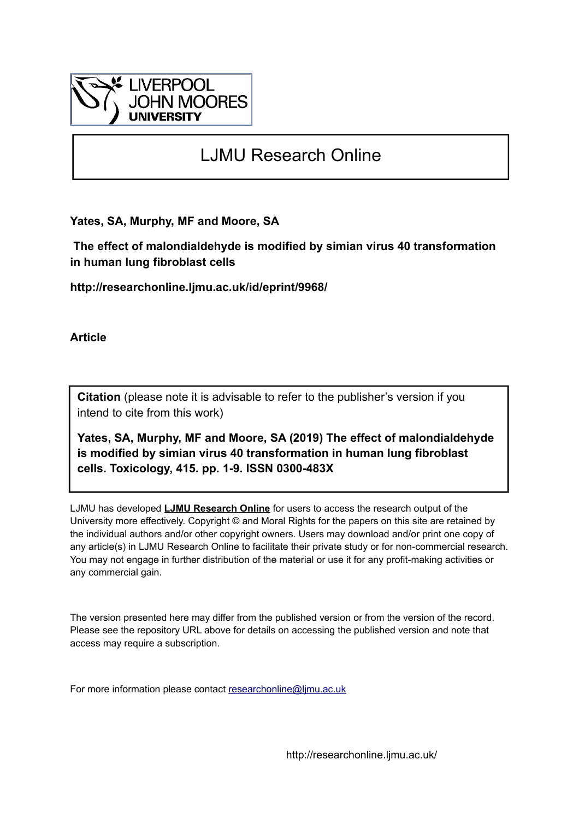

## LJMU Research Online

**Yates, SA, Murphy, MF and Moore, SA**

 **The effect of malondialdehyde is modified by simian virus 40 transformation in human lung fibroblast cells**

**http://researchonline.ljmu.ac.uk/id/eprint/9968/**

**Article**

**Citation** (please note it is advisable to refer to the publisher's version if you intend to cite from this work)

**Yates, SA, Murphy, MF and Moore, SA (2019) The effect of malondialdehyde is modified by simian virus 40 transformation in human lung fibroblast cells. Toxicology, 415. pp. 1-9. ISSN 0300-483X** 

LJMU has developed **[LJMU Research Online](http://researchonline.ljmu.ac.uk/)** for users to access the research output of the University more effectively. Copyright © and Moral Rights for the papers on this site are retained by the individual authors and/or other copyright owners. Users may download and/or print one copy of any article(s) in LJMU Research Online to facilitate their private study or for non-commercial research. You may not engage in further distribution of the material or use it for any profit-making activities or any commercial gain.

The version presented here may differ from the published version or from the version of the record. Please see the repository URL above for details on accessing the published version and note that access may require a subscription.

For more information please contact [researchonline@ljmu.ac.uk](mailto:researchonline@ljmu.ac.uk)

http://researchonline.ljmu.ac.uk/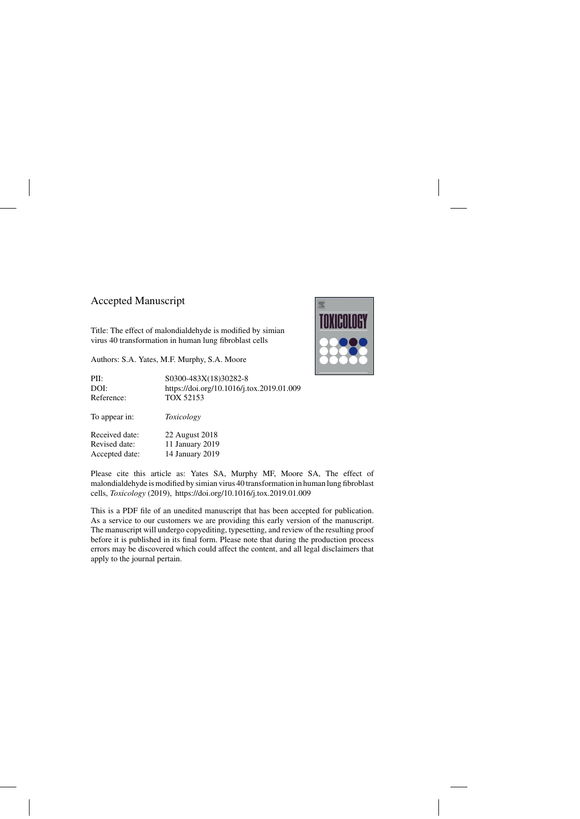## Accepted Manuscript

Title: The effect of malondialdehyde is modified by simian virus 40 transformation in human lung fibroblast cells

Authors: S.A. Yates, M.F. Murphy, S.A. Moore



Please cite this article as: Yates SA, Murphy MF, Moore SA, The effect of malondialdehyde is modified by simian virus 40 transformation in human lung fibroblast cells, *Toxicology* (2019),<https://doi.org/10.1016/j.tox.2019.01.009>

This is a PDF file of an unedited manuscript that has been accepted for publication. As a service to our customers we are providing this early version of the manuscript. The manuscript will undergo copyediting, typesetting, and review of the resulting proof before it is published in its final form. Please note that during the production process errors may be discovered which could affect the content, and all legal disclaimers that apply to the journal pertain.

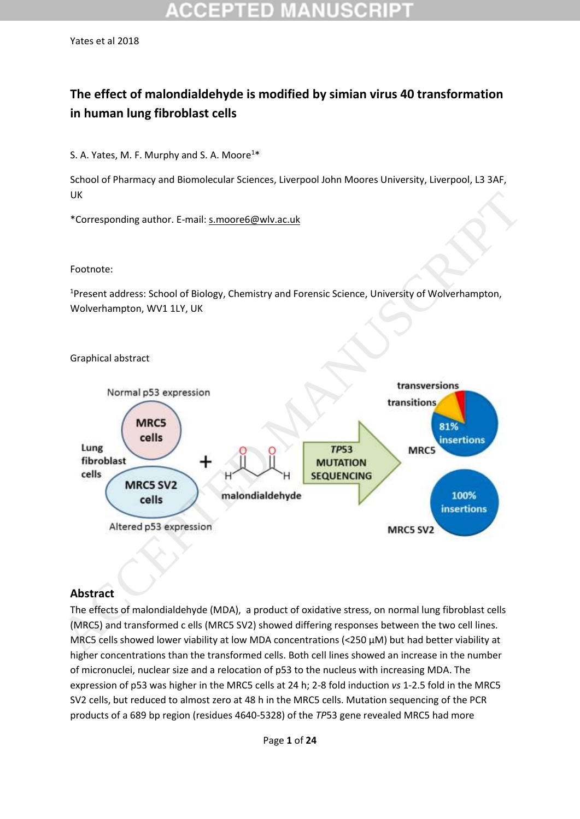## **The effect of malondialdehyde is modified by simian virus 40 transformation in human lung fibroblast cells**

S. A. Yates, M. F. Murphy and S. A. Moore<sup>1\*</sup>

School of Pharmacy and Biomolecular Sciences, Liverpool John Moores University, Liverpool, L3 3AF, UK

\*Corresponding author. E-mail: s.moore6@wlv.ac.uk

#### Footnote:

Graphical abstract

<sup>1</sup>Present address: School of Biology, Chemistry and Forensic Science, University of Wolverhampton, Wolverhampton, WV1 1LY, UK



### **Abstract**

The effects of malondialdehyde (MDA), a product of oxidative stress, on normal lung fibroblast cells (MRC5) and transformed c ells (MRC5 SV2) showed differing responses between the two cell lines. MRC5 cells showed lower viability at low MDA concentrations (<250 µM) but had better viability at higher concentrations than the transformed cells. Both cell lines showed an increase in the number of micronuclei, nuclear size and a relocation of p53 to the nucleus with increasing MDA. The expression of p53 was higher in the MRC5 cells at 24 h; 2-8 fold induction *vs* 1-2.5 fold in the MRC5 SV2 cells, but reduced to almost zero at 48 h in the MRC5 cells. Mutation sequencing of the PCR products of a 689 bp region (residues 4640-5328) of the *TP*53 gene revealed MRC5 had more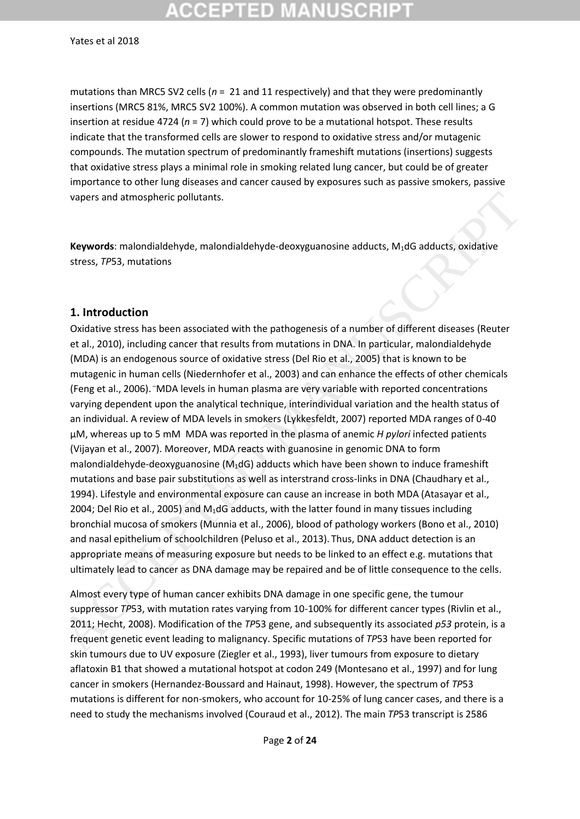# CEPTED MA:

#### Yates et al 2018

mutations than MRC5 SV2 cells (*n* = 21 and 11 respectively) and that they were predominantly insertions (MRC5 81%, MRC5 SV2 100%). A common mutation was observed in both cell lines; a G insertion at residue 4724 (*n* = 7) which could prove to be a mutational hotspot. These results indicate that the transformed cells are slower to respond to oxidative stress and/or mutagenic compounds. The mutation spectrum of predominantly frameshift mutations (insertions) suggests that oxidative stress plays a minimal role in smoking related lung cancer, but could be of greater importance to other lung diseases and cancer caused by exposures such as passive smokers, passive vapers and atmospheric pollutants.

**Keywords**: malondialdehyde, malondialdehyde-deoxyguanosine adducts, M1dG adducts, oxidative stress, *TP*53, mutations

#### **1. Introduction**

Oxidative stress has been associated with the pathogenesis of a number of different diseases (Reuter et al., 2010), including cancer that results from mutations in DNA. In particular, malondialdehyde (MDA) is an endogenous source of oxidative stress (Del Rio et al., 2005) that is known to be mutagenic in human cells (Niedernhofer et al., 2003) and can enhance the effects of other chemicals (Feng et al., 2006). –MDA levels in human plasma are very variable with reported concentrations varying dependent upon the analytical technique, interindividual variation and the health status of an individual. A review of MDA levels in smokers (Lykkesfeldt, 2007) reported MDA ranges of 0-40 µM, whereas up to 5 mM MDA was reported in the plasma of anemic *H pylori* infected patients (Vijayan et al., 2007). Moreover, MDA reacts with guanosine in genomic DNA to form malondialdehyde-deoxyguanosine  $(M_1dG)$  adducts which have been shown to induce frameshift mutations and base pair substitutions as well as interstrand cross-links in DNA (Chaudhary et al., 1994). Lifestyle and environmental exposure can cause an increase in both MDA (Atasayar et al., 2004; Del Rio et al., 2005) and M<sub>1</sub>dG adducts, with the latter found in many tissues including bronchial mucosa of smokers (Munnia et al., 2006), blood of pathology workers (Bono et al., 2010) and nasal epithelium of schoolchildren (Peluso et al., 2013). Thus, DNA adduct detection is an appropriate means of measuring exposure but needs to be linked to an effect e.g. mutations that ultimately lead to cancer as DNA damage may be repaired and be of little consequence to the cells. vapers and atmospheric pollutants.<br> **Keywords:** malondialdehyde, malondialdehyde-deoxyguanosine adducts, M:dG adducts, oxidative<br>
stress, 7P53, mulations<br>
1. **Introduction**<br>
Oxidative stress has been associated with the pa

Almost every type of human cancer exhibits DNA damage in one specific gene, the tumour suppressor *TP*53, with mutation rates varying from 10-100% for different cancer types (Rivlin et al., 2011; Hecht, 2008). Modification of the *TP*53 gene, and subsequently its associated *p53* protein, is a frequent genetic event leading to malignancy. Specific mutations of *TP*53 have been reported for skin tumours due to UV exposure (Ziegler et al., 1993), liver tumours from exposure to dietary aflatoxin B1 that showed a mutational hotspot at codon 249 (Montesano et al., 1997) and for lung cancer in smokers (Hernandez-Boussard and Hainaut, 1998). However, the spectrum of *TP*53 mutations is different for non-smokers, who account for 10-25% of lung cancer cases, and there is a need to study the mechanisms involved (Couraud et al., 2012). The main *TP*53 transcript is 2586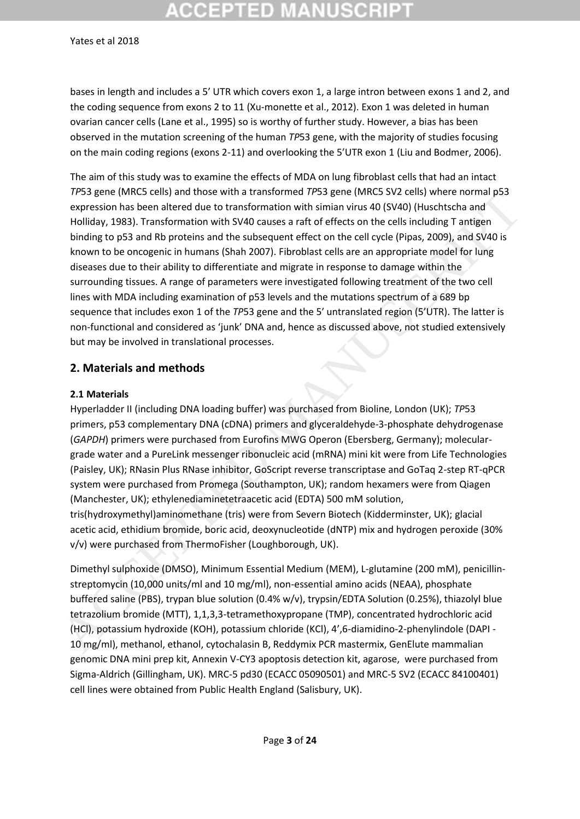# **CCEPTED MANUSCRI**

#### Yates et al 2018

bases in length and includes a 5' UTR which covers exon 1, a large intron between exons 1 and 2, and the coding sequence from exons 2 to 11 (Xu-monette et al., 2012). Exon 1 was deleted in human ovarian cancer cells (Lane et al., 1995) so is worthy of further study. However, a bias has been observed in the mutation screening of the human *TP*53 gene, with the majority of studies focusing on the main coding regions (exons 2-11) and overlooking the 5'UTR exon 1 (Liu and Bodmer, 2006).

The aim of this study was to examine the effects of MDA on lung fibroblast cells that had an intact *TP*53 gene (MRC5 cells) and those with a transformed *TP*53 gene (MRC5 SV2 cells) where normal p53 expression has been altered due to transformation with simian virus 40 (SV40) (Huschtscha and Holliday, 1983). Transformation with SV40 causes a raft of effects on the cells including T antigen binding to p53 and Rb proteins and the subsequent effect on the cell cycle (Pipas, 2009), and SV40 is known to be oncogenic in humans (Shah 2007). Fibroblast cells are an appropriate model for lung diseases due to their ability to differentiate and migrate in response to damage within the surrounding tissues. A range of parameters were investigated following treatment of the two cell lines with MDA including examination of p53 levels and the mutations spectrum of a 689 bp sequence that includes exon 1 of the *TP*53 gene and the 5′ untranslated region (5'UTR). The latter is non-functional and considered as 'junk' DNA and, hence as discussed above, not studied extensively but may be involved in translational processes. *i* Paya gette (wincs celay) and utins with an diabrotimes *i* Paya gette (wincs 3 viz celay) withere not<br>many expression has been altered due to transformation with similar virus 40 (SV40) (Huschtscha and<br>Holliday, 1983)

#### **2. Materials and methods**

#### **2.1 Materials**

Hyperladder II (including DNA loading buffer) was purchased from Bioline, London (UK); *TP*53 primers, p53 complementary DNA (cDNA) primers and glyceraldehyde-3-phosphate dehydrogenase (*GAPDH*) primers were purchased from Eurofins MWG Operon (Ebersberg, Germany); moleculargrade water and a PureLink messenger ribonucleic acid (mRNA) mini kit were from Life Technologies (Paisley, UK); RNasin Plus RNase inhibitor, GoScript reverse transcriptase and GoTaq 2-step RT-qPCR system were purchased from Promega (Southampton, UK); random hexamers were from Qiagen (Manchester, UK); ethylenediaminetetraacetic acid (EDTA) 500 mM solution, tris(hydroxymethyl)aminomethane (tris) were from Severn Biotech (Kidderminster, UK); glacial acetic acid, ethidium bromide, boric acid, deoxynucleotide (dNTP) mix and hydrogen peroxide (30% v/v) were purchased from ThermoFisher (Loughborough, UK).

Dimethyl sulphoxide (DMSO), Minimum Essential Medium (MEM), L-glutamine (200 mM), penicillinstreptomycin (10,000 units/ml and 10 mg/ml), non-essential amino acids (NEAA), phosphate buffered saline (PBS), trypan blue solution (0.4% w/v), trypsin/EDTA Solution (0.25%), thiazolyl blue tetrazolium bromide (MTT), 1,1,3,3-tetramethoxypropane (TMP), concentrated hydrochloric acid (HCl), potassium hydroxide (KOH), potassium chloride (KCl), 4',6-diamidino-2-phenylindole (DAPI - 10 mg/ml), methanol, ethanol, cytochalasin B, Reddymix PCR mastermix, GenElute mammalian genomic DNA mini prep kit, Annexin V-CY3 apoptosis detection kit, agarose, were purchased from Sigma-Aldrich (Gillingham, UK). MRC-5 pd30 (ECACC 05090501) and MRC-5 SV2 (ECACC 84100401) cell lines were obtained from Public Health England (Salisbury, UK).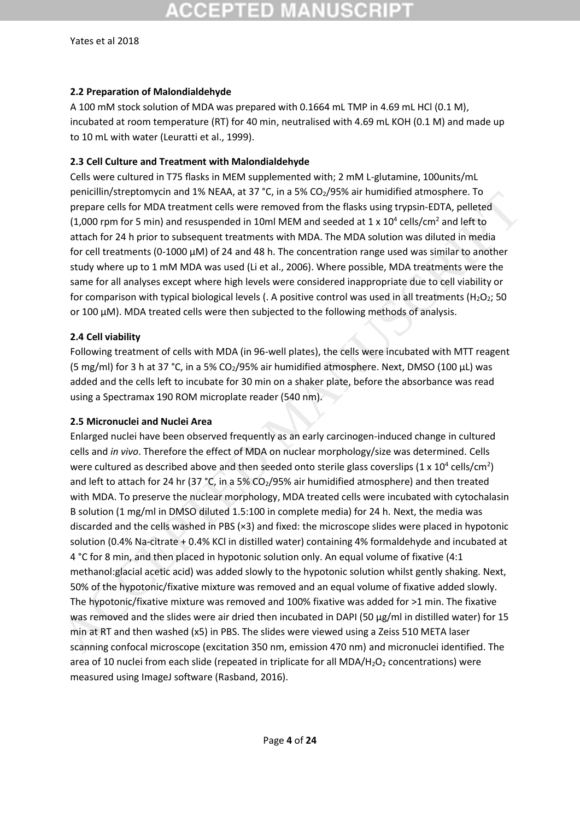### **2.2 Preparation of Malondialdehyde**

A 100 mM stock solution of MDA was prepared with 0.1664 mL TMP in 4.69 mL HCl (0.1 M), incubated at room temperature (RT) for 40 min, neutralised with 4.69 mL KOH (0.1 M) and made up to 10 mL with water (Leuratti et al., 1999).

## **2.3 Cell Culture and Treatment with Malondialdehyde**

Cells were cultured in T75 flasks in MEM supplemented with; 2 mM L-glutamine, 100units/mL penicillin/streptomycin and 1% NEAA, at 37 °C, in a 5% CO<sub>2</sub>/95% air humidified atmosphere. To prepare cells for MDA treatment cells were removed from the flasks using trypsin-EDTA, pelleted (1,000 rpm for 5 min) and resuspended in 10ml MEM and seeded at 1 x  $10^4$  cells/cm<sup>2</sup> and left to attach for 24 h prior to subsequent treatments with MDA. The MDA solution was diluted in media for cell treatments (0-1000  $\mu$ M) of 24 and 48 h. The concentration range used was similar to another study where up to 1 mM MDA was used (Li et al., 2006). Where possible, MDA treatments were the same for all analyses except where high levels were considered inappropriate due to cell viability or for comparison with typical biological levels (. A positive control was used in all treatments ( $H_2O_2$ ; 50 or 100  $\mu$ M). MDA treated cells were then subjected to the following methods of analysis.

## **2.4 Cell viability**

Following treatment of cells with MDA (in 96-well plates), the cells were incubated with MTT reagent (5 mg/ml) for 3 h at 37 °C, in a 5% CO<sub>2</sub>/95% air humidified atmosphere. Next, DMSO (100 µL) was added and the cells left to incubate for 30 min on a shaker plate, before the absorbance was read using a Spectramax 190 ROM microplate reader (540 nm).

### **2.5 Micronuclei and Nuclei Area**

Enlarged nuclei have been observed frequently as an early carcinogen-induced change in cultured cells and *in vivo*. Therefore the effect of MDA on nuclear morphology/size was determined. Cells were cultured as described above and then seeded onto sterile glass coverslips (1 x 10<sup>4</sup> cells/cm<sup>2</sup>) and left to attach for 24 hr (37 °C, in a 5%  $CO<sub>2</sub>/95%$  air humidified atmosphere) and then treated with MDA. To preserve the nuclear morphology, MDA treated cells were incubated with cytochalasin B solution (1 mg/ml in DMSO diluted 1.5:100 in complete media) for 24 h. Next, the media was discarded and the cells washed in PBS (×3) and fixed: the microscope slides were placed in hypotonic solution (0.4% Na-citrate + 0.4% KCl in distilled water) containing 4% formaldehyde and incubated at 4 °C for 8 min, and then placed in hypotonic solution only. An equal volume of fixative (4:1 methanol:glacial acetic acid) was added slowly to the hypotonic solution whilst gently shaking. Next, 50% of the hypotonic/fixative mixture was removed and an equal volume of fixative added slowly. The hypotonic/fixative mixture was removed and 100% fixative was added for >1 min. The fixative was removed and the slides were air dried then incubated in DAPI (50 µg/ml in distilled water) for 15 min at RT and then washed (x5) in PBS. The slides were viewed using a Zeiss 510 META laser scanning confocal microscope (excitation 350 nm, emission 470 nm) and micronuclei identified. The area of 10 nuclei from each slide (repeated in triplicate for all  $MDA/H<sub>2</sub>O<sub>2</sub>$  concentrations) were measured using ImageJ software (Rasband, 2016). prendimity surepointed and the sure of a so  $V_1$  in a 25 c Cay space in funding the antitional and the sure of the microscope (existed at the sure of the microscope (existed at the sure of the microscope (existed at the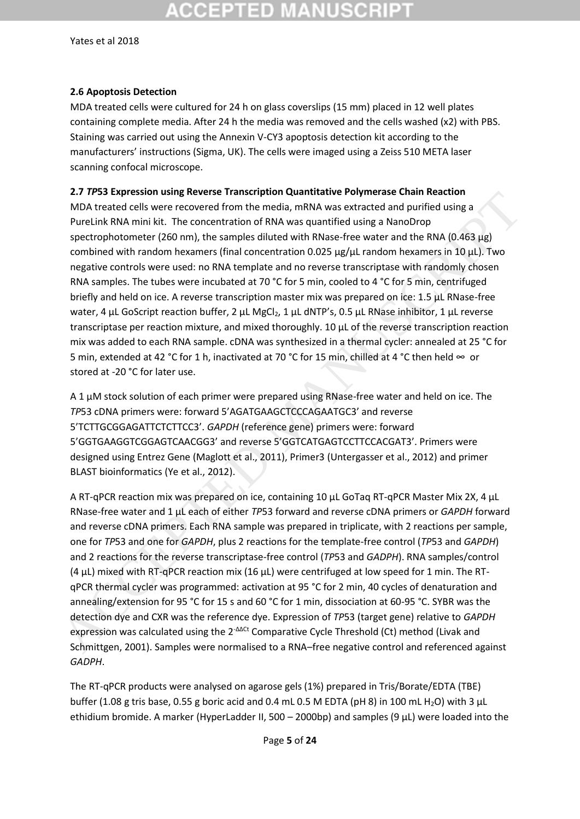# CCEPTED MAN

Yates et al 2018

#### **2.6 Apoptosis Detection**

MDA treated cells were cultured for 24 h on glass coverslips (15 mm) placed in 12 well plates containing complete media. After 24 h the media was removed and the cells washed (x2) with PBS. Staining was carried out using the Annexin V-CY3 apoptosis detection kit according to the manufacturers' instructions (Sigma, UK). The cells were imaged using a Zeiss 510 META laser scanning confocal microscope.

#### **2.7** *TP***53 Expression using Reverse Transcription Quantitative Polymerase Chain Reaction**

MDA treated cells were recovered from the media, mRNA was extracted and purified using a PureLink RNA mini kit. The concentration of RNA was quantified using a NanoDrop spectrophotometer (260 nm), the samples diluted with RNase-free water and the RNA (0.463 µg) combined with random hexamers (final concentration 0.025  $\mu$ g/ $\mu$ L random hexamers in 10  $\mu$ L). Two negative controls were used: no RNA template and no reverse transcriptase with randomly chosen RNA samples. The tubes were incubated at 70 °C for 5 min, cooled to 4 °C for 5 min, centrifuged briefly and held on ice. A reverse transcription master mix was prepared on ice: 1.5 µL RNase-free water, 4 µL GoScript reaction buffer, 2 µL MgCl<sub>2</sub>, 1 µL dNTP's, 0.5 µL RNase inhibitor, 1 µL reverse transcriptase per reaction mixture, and mixed thoroughly. 10 µL of the reverse transcription reaction mix was added to each RNA sample. cDNA was synthesized in a thermal cycler: annealed at 25 °C for 5 min, extended at 42 °C for 1 h, inactivated at 70 °C for 15 min, chilled at 4 °C then held ∞ or stored at -20 °C for later use. 2.1 Pros expression using Neverse ransier punion quantitative experimentation of the templet of the May methals of MAN model of MAN ministic Tectocon (TRMA was extracted and purified using a Purelink RNA mini kit. The con

A 1 µM stock solution of each primer were prepared using RNase-free water and held on ice. The *TP*53 cDNA primers were: forward 5'AGATGAAGCTCCCAGAATGC3' and reverse 5'TCTTGCGGAGATTCTCTTCC3'. *GAPDH* (reference gene) primers were: forward 5'GGTGAAGGTCGGAGTCAACGG3' and reverse 5'GGTCATGAGTCCTTCCACGAT3'. Primers were designed using Entrez Gene (Maglott et al., 2011), Primer3 (Untergasser et al., 2012) and primer BLAST bioinformatics (Ye et al., 2012).

A RT-qPCR reaction mix was prepared on ice, containing 10 µL GoTaq RT-qPCR Master Mix 2X, 4 µL RNase-free water and 1 µL each of either *TP*53 forward and reverse cDNA primers or *GAPDH* forward and reverse cDNA primers. Each RNA sample was prepared in triplicate, with 2 reactions per sample, one for *TP*53 and one for *GAPDH*, plus 2 reactions for the template-free control (*TP*53 and *GAPDH*) and 2 reactions for the reverse transcriptase-free control (*TP*53 and *GADPH*). RNA samples/control (4  $\mu$ L) mixed with RT-qPCR reaction mix (16  $\mu$ L) were centrifuged at low speed for 1 min. The RTqPCR thermal cycler was programmed: activation at 95 °C for 2 min, 40 cycles of denaturation and annealing/extension for 95 °C for 15 s and 60 °C for 1 min, dissociation at 60-95 °C. SYBR was the detection dye and CXR was the reference dye. Expression of *TP*53 (target gene) relative to *GAPDH* expression was calculated using the 2<sup>- $\Delta\Delta$ Ct</sup> Comparative Cycle Threshold (Ct) method (Livak and Schmittgen, 2001). Samples were normalised to a RNA–free negative control and referenced against *GADPH*.

The RT-qPCR products were analysed on agarose gels (1%) prepared in Tris/Borate/EDTA (TBE) buffer (1.08 g tris base, 0.55 g boric acid and 0.4 mL 0.5 M EDTA (pH 8) in 100 mL H<sub>2</sub>O) with 3 µL ethidium bromide. A marker (HyperLadder II, 500 – 2000bp) and samples (9  $\mu$ L) were loaded into the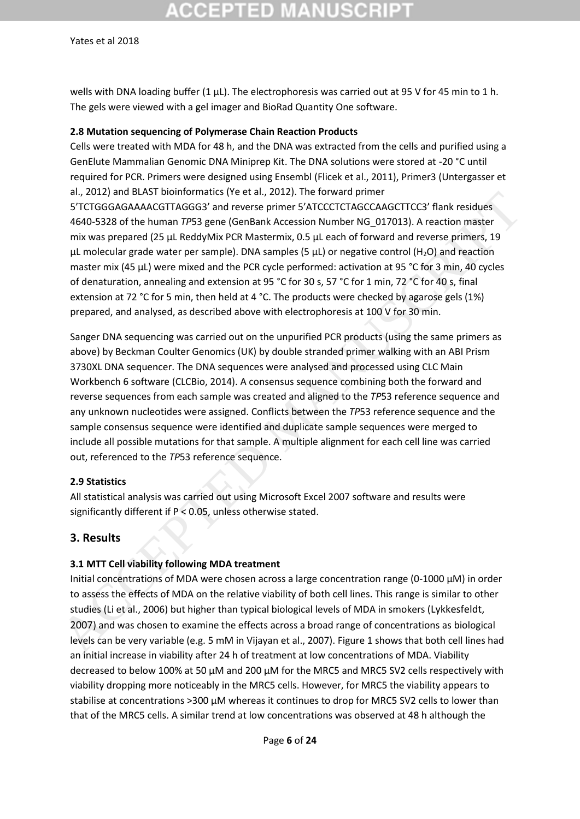# :CEPTED MAI

#### Yates et al 2018

wells with DNA loading buffer  $(1 \mu L)$ . The electrophoresis was carried out at 95 V for 45 min to 1 h. The gels were viewed with a gel imager and BioRad Quantity One software.

#### **2.8 Mutation sequencing of Polymerase Chain Reaction Products**

Cells were treated with MDA for 48 h, and the DNA was extracted from the cells and purified using a GenElute Mammalian Genomic DNA Miniprep Kit. The DNA solutions were stored at -20 °C until required for PCR. Primers were designed using Ensembl (Flicek et al., 2011), Primer3 (Untergasser et al., 2012) and BLAST bioinformatics (Ye et al., 2012). The forward primer 5'TCTGGGAGAAAACGTTAGGG3' and reverse primer 5'ATCCCTCTAGCCAAGCTTCC3' flank residues 4640-5328 of the human *TP*53 gene (GenBank Accession Number NG\_017013). A reaction master mix was prepared (25 µL ReddyMix PCR Mastermix, 0.5 µL each of forward and reverse primers, 19  $\mu$ L molecular grade water per sample). DNA samples (5  $\mu$ L) or negative control (H<sub>2</sub>O) and reaction master mix (45 µL) were mixed and the PCR cycle performed: activation at 95 °C for 3 min, 40 cycles of denaturation, annealing and extension at 95 °C for 30 s, 57 °C for 1 min, 72 °C for 40 s, final extension at 72 °C for 5 min, then held at 4 °C. The products were checked by agarose gels (1%) prepared, and analysed, as described above with electrophoresis at 100 V for 30 min.

Sanger DNA sequencing was carried out on the unpurified PCR products (using the same primers as above) by Beckman Coulter Genomics (UK) by double stranded primer walking with an ABI Prism 3730XL DNA sequencer. The DNA sequences were analysed and processed using CLC Main Workbench 6 software (CLCBio, 2014). A consensus sequence combining both the forward and reverse sequences from each sample was created and aligned to the *TP*53 reference sequence and any unknown nucleotides were assigned. Conflicts between the *TP*53 reference sequence and the sample consensus sequence were identified and duplicate sample sequences were merged to include all possible mutations for that sample. A multiple alignment for each cell line was carried out, referenced to the *TP*53 reference sequence. at., 2012 and ubus 1 bloomentals (text al., 2012). The Univary pline the same of the same states and 0.53229 of the human 7P53 gene (Gemalank Accession Number NG \_017013). A reaction masker and 0.53228 of the human 7P53 ge

#### **2.9 Statistics**

All statistical analysis was carried out using Microsoft Excel 2007 software and results were significantly different if P < 0.05, unless otherwise stated.

#### **3. Results**

#### **3.1 MTT Cell viability following MDA treatment**

Initial concentrations of MDA were chosen across a large concentration range (0-1000 µM) in order to assess the effects of MDA on the relative viability of both cell lines. This range is similar to other studies (Li et al., 2006) but higher than typical biological levels of MDA in smokers (Lykkesfeldt, 2007) and was chosen to examine the effects across a broad range of concentrations as biological levels can be very variable (e.g. 5 mM in Vijayan et al., 2007). Figure 1 shows that both cell lines had an initial increase in viability after 24 h of treatment at low concentrations of MDA. Viability decreased to below 100% at 50 µM and 200 µM for the MRC5 and MRC5 SV2 cells respectively with viability dropping more noticeably in the MRC5 cells. However, for MRC5 the viability appears to stabilise at concentrations >300 µM whereas it continues to drop for MRC5 SV2 cells to lower than that of the MRC5 cells. A similar trend at low concentrations was observed at 48 h although the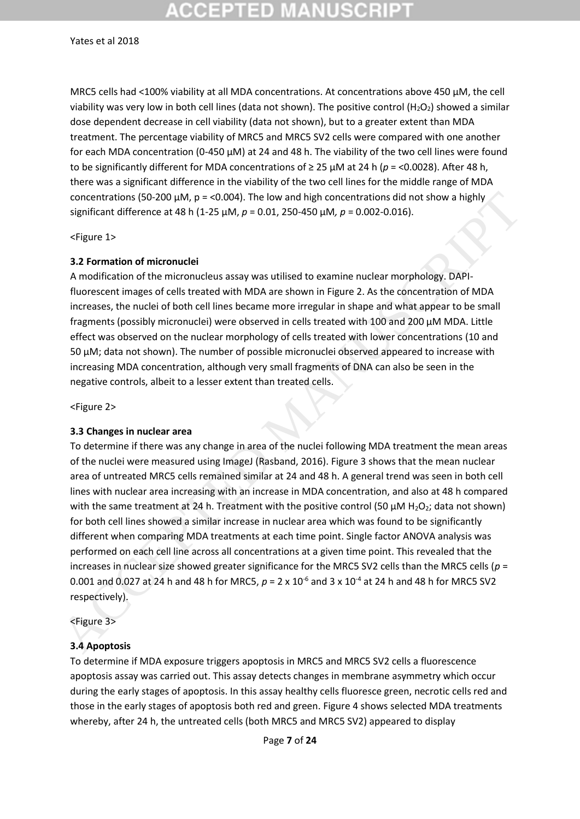# :GEPTED M

#### Yates et al 2018

MRC5 cells had <100% viability at all MDA concentrations. At concentrations above 450 µM, the cell viability was very low in both cell lines (data not shown). The positive control (H<sub>2</sub>O<sub>2</sub>) showed a similar dose dependent decrease in cell viability (data not shown), but to a greater extent than MDA treatment. The percentage viability of MRC5 and MRC5 SV2 cells were compared with one another for each MDA concentration (0-450 µM) at 24 and 48 h. The viability of the two cell lines were found to be significantly different for MDA concentrations of ≥ 25 µM at 24 h (*p* = <0.0028). After 48 h, there was a significant difference in the viability of the two cell lines for the middle range of MDA concentrations (50-200  $\mu$ M, p = <0.004). The low and high concentrations did not show a highly significant difference at 48 h (1-25 µM, *p* = 0.01, 250-450 µM*, p* = 0.002-0.016).

<Figure 1>

#### **3.2 Formation of micronuclei**

A modification of the micronucleus assay was utilised to examine nuclear morphology. DAPIfluorescent images of cells treated with MDA are shown in Figure 2. As the concentration of MDA increases, the nuclei of both cell lines became more irregular in shape and what appear to be small fragments (possibly micronuclei) were observed in cells treated with 100 and 200 µM MDA. Little effect was observed on the nuclear morphology of cells treated with lower concentrations (10 and 50 µM; data not shown). The number of possible micronuclei observed appeared to increase with increasing MDA concentration, although very small fragments of DNA can also be seen in the negative controls, albeit to a lesser extent than treated cells.

<Figure 2>

#### **3.3 Changes in nuclear area**

To determine if there was any change in area of the nuclei following MDA treatment the mean areas of the nuclei were measured using ImageJ (Rasband, 2016). Figure 3 shows that the mean nuclear area of untreated MRC5 cells remained similar at 24 and 48 h. A general trend was seen in both cell lines with nuclear area increasing with an increase in MDA concentration, and also at 48 h compared with the same treatment at 24 h. Treatment with the positive control (50  $\mu$ M H<sub>2</sub>O<sub>2</sub>; data not shown) for both cell lines showed a similar increase in nuclear area which was found to be significantly different when comparing MDA treatments at each time point. Single factor ANOVA analysis was performed on each cell line across all concentrations at a given time point. This revealed that the increases in nuclear size showed greater significance for the MRC5 SV2 cells than the MRC5 cells (*p* = 0.001 and 0.027 at 24 h and 48 h for MRC5, *p* = 2 x 10-6 and 3 x 10-4 at 24 h and 48 h for MRC5 SV2 respectively). concentrations (50-200 µM, p = <0.004). The low and high concentrations did not show a highly<br>significant difference at 48 h (1-25 µM,  $\rho$  = 0.01, 250-450 µM,  $\rho$  = 0.002-0.016).<br>
Signification of micronucles<br>
A. Forgiu

<Figure 3>

#### **3.4 Apoptosis**

To determine if MDA exposure triggers apoptosis in MRC5 and MRC5 SV2 cells a fluorescence apoptosis assay was carried out. This assay detects changes in membrane asymmetry which occur during the early stages of apoptosis. In this assay healthy cells fluoresce green, necrotic cells red and those in the early stages of apoptosis both red and green. Figure 4 shows selected MDA treatments whereby, after 24 h, the untreated cells (both MRC5 and MRC5 SV2) appeared to display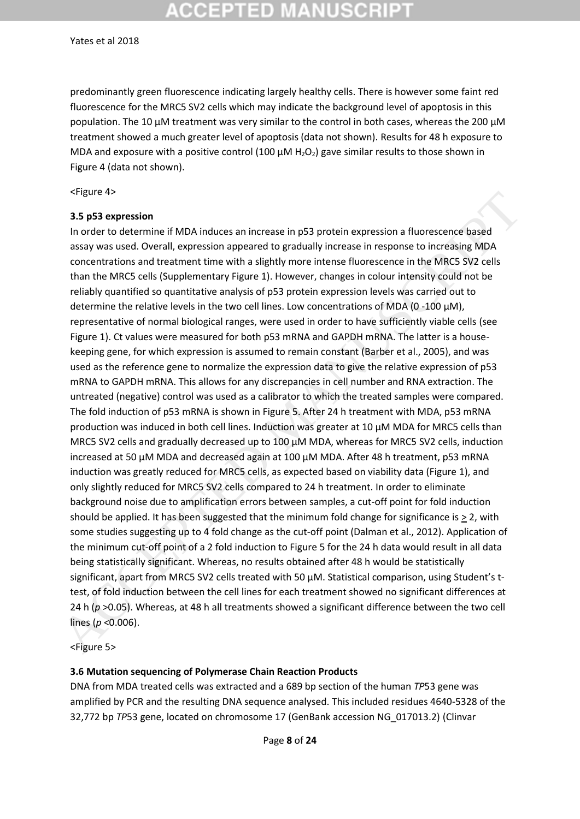# **CCEPTED MANUSCRI**

#### Yates et al 2018

predominantly green fluorescence indicating largely healthy cells. There is however some faint red fluorescence for the MRC5 SV2 cells which may indicate the background level of apoptosis in this population. The 10 µM treatment was very similar to the control in both cases, whereas the 200 µM treatment showed a much greater level of apoptosis (data not shown). Results for 48 h exposure to MDA and exposure with a positive control (100  $\mu$ M H<sub>2</sub>O<sub>2</sub>) gave similar results to those shown in Figure 4 (data not shown).

<Figure 4>

#### **3.5 p53 expression**

In order to determine if MDA induces an increase in p53 protein expression a fluorescence based assay was used. Overall, expression appeared to gradually increase in response to increasing MDA concentrations and treatment time with a slightly more intense fluorescence in the MRC5 SV2 cells than the MRC5 cells (Supplementary Figure 1). However, changes in colour intensity could not be reliably quantified so quantitative analysis of p53 protein expression levels was carried out to determine the relative levels in the two cell lines. Low concentrations of MDA (0 -100 µM), representative of normal biological ranges, were used in order to have sufficiently viable cells (see Figure 1). Ct values were measured for both p53 mRNA and GAPDH mRNA. The latter is a housekeeping gene, for which expression is assumed to remain constant (Barber et al., 2005), and was used as the reference gene to normalize the expression data to give the relative expression of p53 mRNA to GAPDH mRNA. This allows for any discrepancies in cell number and RNA extraction. The untreated (negative) control was used as a calibrator to which the treated samples were compared. The fold induction of p53 mRNA is shown in Figure 5. After 24 h treatment with MDA, p53 mRNA production was induced in both cell lines. Induction was greater at 10 µM MDA for MRC5 cells than MRC5 SV2 cells and gradually decreased up to 100  $\mu$ M MDA, whereas for MRC5 SV2 cells, induction increased at 50 µM MDA and decreased again at 100 µM MDA. After 48 h treatment, p53 mRNA induction was greatly reduced for MRC5 cells, as expected based on viability data (Figure 1), and only slightly reduced for MRC5 SV2 cells compared to 24 h treatment. In order to eliminate background noise due to amplification errors between samples, a cut-off point for fold induction should be applied. It has been suggested that the minimum fold change for significance is  $> 2$ , with some studies suggesting up to 4 fold change as the cut-off point (Dalman et al., 2012). Application of the minimum cut-off point of a 2 fold induction to Figure 5 for the 24 h data would result in all data being statistically significant. Whereas, no results obtained after 48 h would be statistically significant, apart from MRC5 SV2 cells treated with 50 μM. Statistical comparison, using Student's ttest, of fold induction between the cell lines for each treatment showed no significant differences at 24 h (*p* >0.05). Whereas, at 48 h all treatments showed a significant difference between the two cell lines (*p* <0.006). s-rigure 43<br>
an posterior eff. MDA induces an increase in p53 protein expression a fluorescence based<br>
In order to determine if MDA induces an increase in p53 protein expression a fluorescence based<br>
assay was used. Overal

<Figure 5>

#### **3.6 Mutation sequencing of Polymerase Chain Reaction Products**

DNA from MDA treated cells was extracted and a 689 bp section of the human *TP*53 gene was amplified by PCR and the resulting DNA sequence analysed. This included residues 4640-5328 of the 32,772 bp *TP*53 gene, located on chromosome 17 (GenBank accession NG\_017013.2) (Clinvar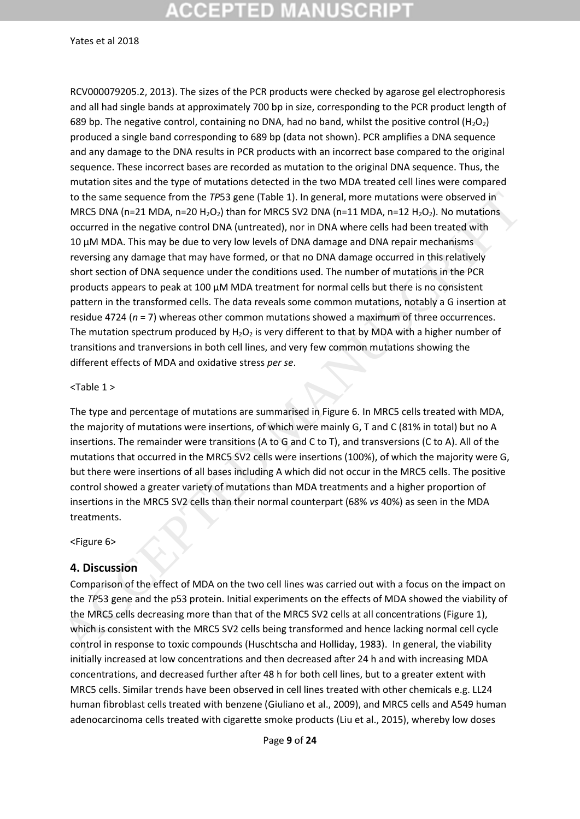# :СЕРТЕD МА

Yates et al 2018

RCV000079205.2, 2013). The sizes of the PCR products were checked by agarose gel electrophoresis and all had single bands at approximately 700 bp in size, corresponding to the PCR product length of 689 bp. The negative control, containing no DNA, had no band, whilst the positive control (H<sub>2</sub>O<sub>2</sub>) produced a single band corresponding to 689 bp (data not shown). PCR amplifies a DNA sequence and any damage to the DNA results in PCR products with an incorrect base compared to the original sequence. These incorrect bases are recorded as mutation to the original DNA sequence. Thus, the mutation sites and the type of mutations detected in the two MDA treated cell lines were compared to the same sequence from the *TP*53 gene (Table 1). In general, more mutations were observed in MRC5 DNA (n=21 MDA, n=20 H<sub>2</sub>O<sub>2</sub>) than for MRC5 SV2 DNA (n=11 MDA, n=12 H<sub>2</sub>O<sub>2</sub>). No mutations occurred in the negative control DNA (untreated), nor in DNA where cells had been treated with 10 µM MDA. This may be due to very low levels of DNA damage and DNA repair mechanisms reversing any damage that may have formed, or that no DNA damage occurred in this relatively short section of DNA sequence under the conditions used. The number of mutations in the PCR products appears to peak at 100 µM MDA treatment for normal cells but there is no consistent pattern in the transformed cells. The data reveals some common mutations, notably a G insertion at residue 4724 (*n* = 7) whereas other common mutations showed a maximum of three occurrences. The mutation spectrum produced by  $H_2O_2$  is very different to that by MDA with a higher number of transitions and tranversions in both cell lines, and very few common mutations showing the different effects of MDA and oxidative stress *per se*. to the same esquence from the *TPS*<sub>3</sub> gener (Table 1). In peneral, more mutations were observed in<br>MCCEPTED MANUSCRIPT (and the magnitude of the MACCE SV2 DNA (n=11 MDA, n=12 H<sub>OO</sub>). No mutations<br>occurred in the negative

#### <Table 1 >

The type and percentage of mutations are summarised in Figure 6. In MRC5 cells treated with MDA, the majority of mutations were insertions, of which were mainly G, T and C (81% in total) but no A insertions. The remainder were transitions (A to G and C to T), and transversions (C to A). All of the mutations that occurred in the MRC5 SV2 cells were insertions (100%), of which the majority were G, but there were insertions of all bases including A which did not occur in the MRC5 cells. The positive control showed a greater variety of mutations than MDA treatments and a higher proportion of insertions in the MRC5 SV2 cells than their normal counterpart (68% *vs* 40%) as seen in the MDA treatments.

#### <Figure 6>

#### **4. Discussion**

Comparison of the effect of MDA on the two cell lines was carried out with a focus on the impact on the *TP*53 gene and the p53 protein. Initial experiments on the effects of MDA showed the viability of the MRC5 cells decreasing more than that of the MRC5 SV2 cells at all concentrations (Figure 1), which is consistent with the MRC5 SV2 cells being transformed and hence lacking normal cell cycle control in response to toxic compounds (Huschtscha and Holliday, 1983). In general, the viability initially increased at low concentrations and then decreased after 24 h and with increasing MDA concentrations, and decreased further after 48 h for both cell lines, but to a greater extent with MRC5 cells. Similar trends have been observed in cell lines treated with other chemicals e.g. LL24 human fibroblast cells treated with benzene (Giuliano et al., 2009), and MRC5 cells and A549 human adenocarcinoma cells treated with cigarette smoke products (Liu et al., 2015), whereby low doses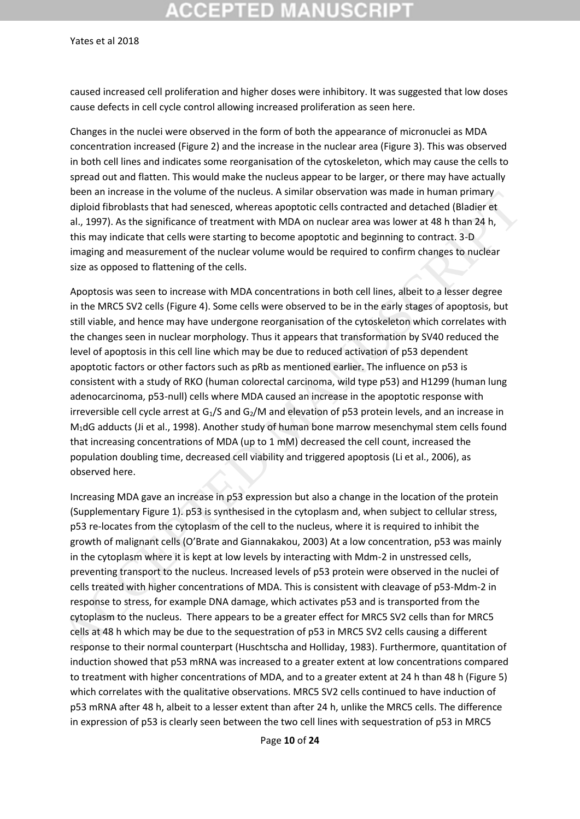## **CCEPTED MANUSCRIPT**

Yates et al 2018

caused increased cell proliferation and higher doses were inhibitory. It was suggested that low doses cause defects in cell cycle control allowing increased proliferation as seen here.

Changes in the nuclei were observed in the form of both the appearance of micronuclei as MDA concentration increased (Figure 2) and the increase in the nuclear area (Figure 3). This was observed in both cell lines and indicates some reorganisation of the cytoskeleton, which may cause the cells to spread out and flatten. This would make the nucleus appear to be larger, or there may have actually been an increase in the volume of the nucleus. A similar observation was made in human primary diploid fibroblasts that had senesced, whereas apoptotic cells contracted and detached (Bladier et al., 1997). As the significance of treatment with MDA on nuclear area was lower at 48 h than 24 h, this may indicate that cells were starting to become apoptotic and beginning to contract. 3-D imaging and measurement of the nuclear volume would be required to confirm changes to nuclear size as opposed to flattening of the cells.

Apoptosis was seen to increase with MDA concentrations in both cell lines, albeit to a lesser degree in the MRC5 SV2 cells (Figure 4). Some cells were observed to be in the early stages of apoptosis, but still viable, and hence may have undergone reorganisation of the cytoskeleton which correlates with the changes seen in nuclear morphology. Thus it appears that transformation by SV40 reduced the level of apoptosis in this cell line which may be due to reduced activation of p53 dependent apoptotic factors or other factors such as pRb as mentioned earlier. The influence on p53 is consistent with a study of RKO (human colorectal carcinoma, wild type p53) and H1299 (human lung adenocarcinoma, p53-null) cells where MDA caused an increase in the apoptotic response with irreversible cell cycle arrest at  $G_1/S$  and  $G_2/M$  and elevation of p53 protein levels, and an increase in M1dG adducts (Ji et al., 1998). Another study of human bone marrow mesenchymal stem cells found that increasing concentrations of MDA (up to 1 mM) decreased the cell count, increased the population doubling time, decreased cell viability and triggered apoptosis (Li et al., 2006), as observed here. Detail in interession in the mustake of the methematic systemic observed in the and in the product of the significance of treatment infinity in all, 1997). As the significance of treatment with MDA on nuclear area was low

Increasing MDA gave an increase in p53 expression but also a change in the location of the protein (Supplementary Figure 1). p53 is synthesised in the cytoplasm and, when subject to cellular stress, p53 re-locates from the cytoplasm of the cell to the nucleus, where it is required to inhibit the growth of malignant cells (O'Brate and Giannakakou, 2003) At a low concentration, p53 was mainly in the cytoplasm where it is kept at low levels by interacting with Mdm-2 in unstressed cells, preventing transport to the nucleus. Increased levels of p53 protein were observed in the nuclei of cells treated with higher concentrations of MDA. This is consistent with cleavage of p53-Mdm-2 in response to stress, for example DNA damage, which activates p53 and is transported from the cytoplasm to the nucleus. There appears to be a greater effect for MRC5 SV2 cells than for MRC5 cells at 48 h which may be due to the sequestration of p53 in MRC5 SV2 cells causing a different response to their normal counterpart (Huschtscha and Holliday, 1983). Furthermore, quantitation of induction showed that p53 mRNA was increased to a greater extent at low concentrations compared to treatment with higher concentrations of MDA, and to a greater extent at 24 h than 48 h (Figure 5) which correlates with the qualitative observations. MRC5 SV2 cells continued to have induction of p53 mRNA after 48 h, albeit to a lesser extent than after 24 h, unlike the MRC5 cells. The difference in expression of p53 is clearly seen between the two cell lines with sequestration of p53 in MRC5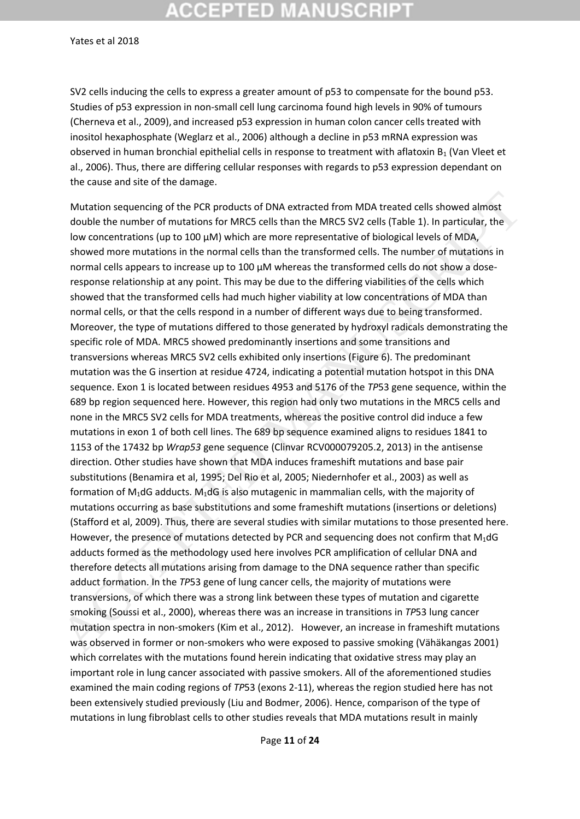## **CCEPTED MANUSCRIPT**

Yates et al 2018

SV2 cells inducing the cells to express a greater amount of p53 to compensate for the bound p53. Studies of p53 expression in non-small cell lung carcinoma found high levels in 90% of tumours (Cherneva et al., 2009), and increased p53 expression in human colon cancer cells treated with inositol hexaphosphate (Weglarz et al., 2006) although a decline in p53 mRNA expression was observed in human bronchial epithelial cells in response to treatment with aflatoxin  $B_1$  (Van Vleet et al., 2006). Thus, there are differing cellular responses with regards to p53 expression dependant on the cause and site of the damage.

Mutation sequencing of the PCR products of DNA extracted from MDA treated cells showed almost double the number of mutations for MRC5 cells than the MRC5 SV2 cells (Table 1). In particular, the low concentrations (up to 100 µM) which are more representative of biological levels of MDA, showed more mutations in the normal cells than the transformed cells. The number of mutations in normal cells appears to increase up to 100  $\mu$ M whereas the transformed cells do not show a doseresponse relationship at any point. This may be due to the differing viabilities of the cells which showed that the transformed cells had much higher viability at low concentrations of MDA than normal cells, or that the cells respond in a number of different ways due to being transformed. Moreover, the type of mutations differed to those generated by hydroxyl radicals demonstrating the specific role of MDA. MRC5 showed predominantly insertions and some transitions and transversions whereas MRC5 SV2 cells exhibited only insertions (Figure 6). The predominant mutation was the G insertion at residue 4724, indicating a potential mutation hotspot in this DNA sequence. Exon 1 is located between residues 4953 and 5176 of the *TP*53 gene sequence, within the 689 bp region sequenced here. However, this region had only two mutations in the MRC5 cells and none in the MRC5 SV2 cells for MDA treatments, whereas the positive control did induce a few mutations in exon 1 of both cell lines. The 689 bp sequence examined aligns to residues 1841 to 1153 of the 17432 bp *Wrap53* gene sequence (Clinvar RCV000079205.2, 2013) in the antisense direction. Other studies have shown that MDA induces frameshift mutations and base pair substitutions (Benamira et al, 1995; Del Rio et al, 2005; Niedernhofer et al., 2003) as well as formation of  $M_1$ dG adducts.  $M_1$ dG is also mutagenic in mammalian cells, with the majority of mutations occurring as base substitutions and some frameshift mutations (insertions or deletions) (Stafford et al, 2009). Thus, there are several studies with similar mutations to those presented here. However, the presence of mutations detected by PCR and sequencing does not confirm that  $M_1$ dG adducts formed as the methodology used here involves PCR amplification of cellular DNA and therefore detects all mutations arising from damage to the DNA sequence rather than specific adduct formation. In the *TP*53 gene of lung cancer cells, the majority of mutations were transversions, of which there was a strong link between these types of mutation and cigarette smoking (Soussi et al., 2000), whereas there was an increase in transitions in *TP*53 lung cancer mutation spectra in non-smokers (Kim et al., 2012). However, an increase in frameshift mutations was observed in former or non-smokers who were exposed to passive smoking (Vähäkangas 2001) which correlates with the mutations found herein indicating that oxidative stress may play an important role in lung cancer associated with passive smokers. All of the aforementioned studies examined the main coding regions of *TP*53 (exons 2-11), whereas the region studied here has not been extensively studied previously (Liu and Bodmer, 2006). Hence, comparison of the type of mutations in lung fibroblast cells to other studies reveals that MDA mutations result in mainly Mutation sequencing of the PCR products of DNA extracted from MDA treated cells showed almost<br>double the number of mutations for MACS cells it han the MACS SV2 cells TFabe 1. In particular, the<br>look concentrations (up to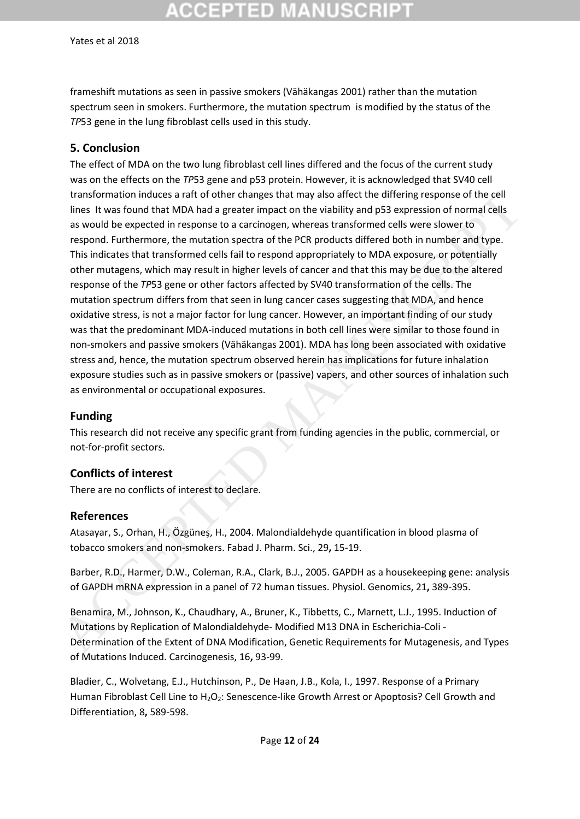# ∶CEPTED MAI

#### Yates et al 2018

frameshift mutations as seen in passive smokers (Vähäkangas 2001) rather than the mutation spectrum seen in smokers. Furthermore, the mutation spectrum is modified by the status of the *TP*53 gene in the lung fibroblast cells used in this study.

#### **5. Conclusion**

The effect of MDA on the two lung fibroblast cell lines differed and the focus of the current study was on the effects on the *TP*53 gene and p53 protein. However, it is acknowledged that SV40 cell transformation induces a raft of other changes that may also affect the differing response of the cell lines It was found that MDA had a greater impact on the viability and p53 expression of normal cells as would be expected in response to a carcinogen, whereas transformed cells were slower to respond. Furthermore, the mutation spectra of the PCR products differed both in number and type. This indicates that transformed cells fail to respond appropriately to MDA exposure, or potentially other mutagens, which may result in higher levels of cancer and that this may be due to the altered response of the *TP*53 gene or other factors affected by SV40 transformation of the cells. The mutation spectrum differs from that seen in lung cancer cases suggesting that MDA, and hence oxidative stress, is not a major factor for lung cancer. However, an important finding of our study was that the predominant MDA-induced mutations in both cell lines were similar to those found in non-smokers and passive smokers (Vähäkangas 2001). MDA has long been associated with oxidative stress and, hence, the mutation spectrum observed herein has implications for future inhalation exposure studies such as in passive smokers or (passive) vapers, and other sources of inhalation such as environmental or occupational exposures. transformation induces a raft of other changes that may also affect the differing response of the cell<br>times it was found that MDA had a greater impact on the viability and p53 expression of normal cells<br>as would be expect

### **Funding**

This research did not receive any specific grant from funding agencies in the public, commercial, or not-for-profit sectors.

### **Conflicts of interest**

There are no conflicts of interest to declare.

#### **References**

Atasayar, S., Orhan, H., Özgüneş, H., 2004. Malondialdehyde quantification in blood plasma of tobacco smokers and non-smokers. Fabad J. Pharm. Sci., 29**,** 15-19.

Barber, R.D., Harmer, D.W., Coleman, R.A., Clark, B.J., 2005. GAPDH as a housekeeping gene: analysis of GAPDH mRNA expression in a panel of 72 human tissues. Physiol. Genomics, 21**,** 389-395.

Benamira, M., Johnson, K., Chaudhary, A., Bruner, K., Tibbetts, C., Marnett, L.J., 1995. Induction of Mutations by Replication of Malondialdehyde- Modified M13 DNA in Escherichia-Coli - Determination of the Extent of DNA Modification, Genetic Requirements for Mutagenesis, and Types of Mutations Induced. Carcinogenesis, 16**,** 93-99.

Bladier, C., Wolvetang, E.J., Hutchinson, P., De Haan, J.B., Kola, I., 1997. Response of a Primary Human Fibroblast Cell Line to H<sub>2</sub>O<sub>2</sub>: Senescence-like Growth Arrest or Apoptosis? Cell Growth and Differentiation, 8**,** 589-598.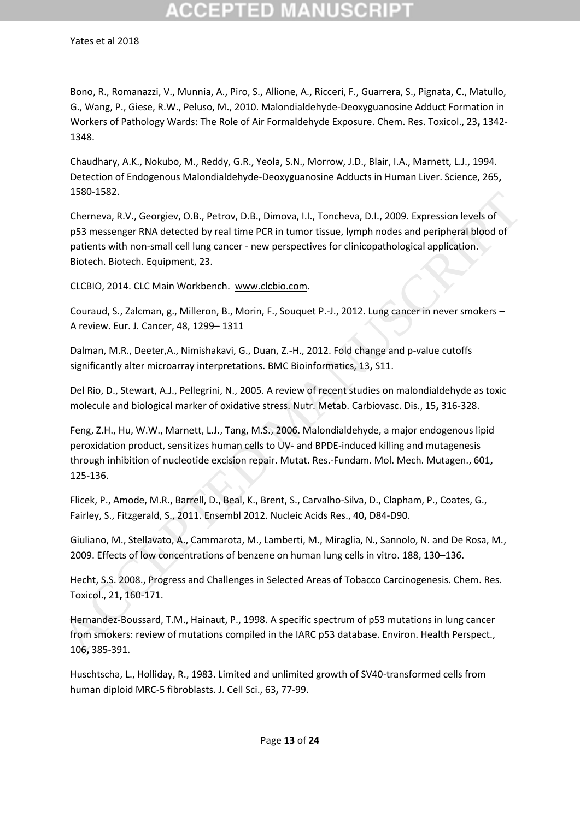Bono, R., Romanazzi, V., Munnia, A., Piro, S., Allione, A., Ricceri, F., Guarrera, S., Pignata, C., Matullo, G., Wang, P., Giese, R.W., Peluso, M., 2010. Malondialdehyde-Deoxyguanosine Adduct Formation in Workers of Pathology Wards: The Role of Air Formaldehyde Exposure. Chem. Res. Toxicol., 23**,** 1342- 1348.

Chaudhary, A.K., Nokubo, M., Reddy, G.R., Yeola, S.N., Morrow, J.D., Blair, I.A., Marnett, L.J., 1994. Detection of Endogenous Malondialdehyde-Deoxyguanosine Adducts in Human Liver. Science, 265**,** 1580-1582.

Cherneva, R.V., Georgiev, O.B., Petrov, D.B., Dimova, I.I., Toncheva, D.I., 2009. Expression levels of p53 messenger RNA detected by real time PCR in tumor tissue, lymph nodes and peripheral blood of patients with non-small cell lung cancer - new perspectives for clinicopathological application. Biotech. Biotech. Equipment, 23. 1580–1582.<br>
Chemeva, R.V., Georgiev, O.B., Petrov, D.B., Dimova, I.I., Toncheva, D.1, 2009. Expression levels of<br>
Chemeva, R.V., Georgiev, O.B., Petrov, D.B., Dimova, I.I., Toncheva, D.1, 2009. Expression levels of<br>
pp33 m

CLCBIO, 2014. CLC Main Workbench. www.clcbio.com.

Couraud, S., Zalcman, g., Milleron, B., Morin, F., Souquet P.-J., 2012. Lung cancer in never smokers – A review. Eur. J. Cancer, 48, 1299– 1311

Dalman, M.R., Deeter,A., Nimishakavi, G., Duan, Z.-H., 2012. Fold change and p-value cutoffs significantly alter microarray interpretations. BMC Bioinformatics, 13**,** S11.

Del Rio, D., Stewart, A.J., Pellegrini, N., 2005. A review of recent studies on malondialdehyde as toxic molecule and biological marker of oxidative stress. Nutr. Metab. Carbiovasc. Dis., 15**,** 316-328.

Feng, Z.H., Hu, W.W., Marnett, L.J., Tang, M.S., 2006. Malondialdehyde, a major endogenous lipid peroxidation product, sensitizes human cells to UV- and BPDE-induced killing and mutagenesis through inhibition of nucleotide excision repair. Mutat. Res.-Fundam. Mol. Mech. Mutagen., 601**,** 125-136.

Flicek, P., Amode, M.R., Barrell, D., Beal, K., Brent, S., Carvalho-Silva, D., Clapham, P., Coates, G., Fairley, S., Fitzgerald, S., 2011. Ensembl 2012. Nucleic Acids Res., 40**,** D84-D90.

Giuliano, M., Stellavato, A., Cammarota, M., Lamberti, M., Miraglia, N., Sannolo, N. and De Rosa, M., 2009. Effects of low concentrations of benzene on human lung cells in vitro. 188, 130–136.

Hecht, S.S. 2008., Progress and Challenges in Selected Areas of Tobacco Carcinogenesis. Chem. Res. Toxicol., 21**,** 160-171.

Hernandez-Boussard, T.M., Hainaut, P., 1998. A specific spectrum of p53 mutations in lung cancer from smokers: review of mutations compiled in the IARC p53 database. Environ. Health Perspect., 106**,** 385-391.

Huschtscha, L., Holliday, R., 1983. Limited and unlimited growth of SV40-transformed cells from human diploid MRC-5 fibroblasts. J. Cell Sci., 63**,** 77-99.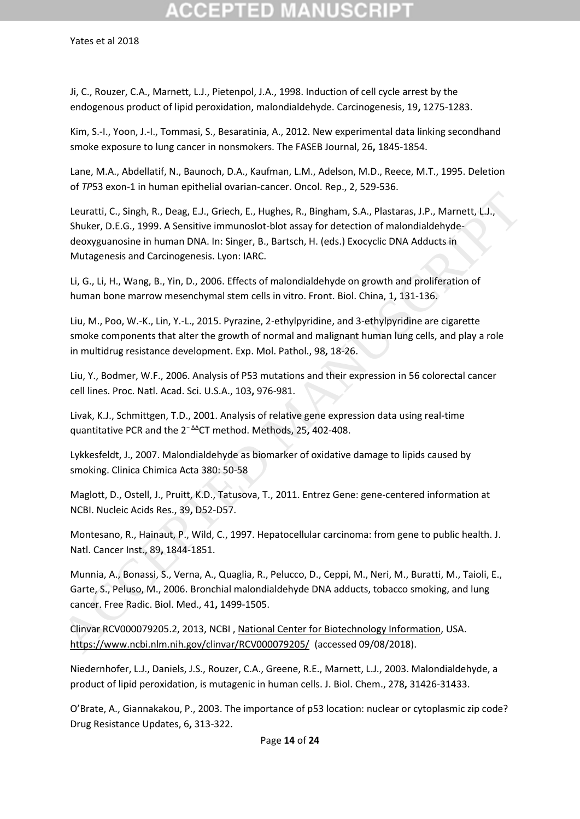Ji, C., Rouzer, C.A., Marnett, L.J., Pietenpol, J.A., 1998. Induction of cell cycle arrest by the endogenous product of lipid peroxidation, malondialdehyde. Carcinogenesis, 19**,** 1275-1283.

Kim, S.-I., Yoon, J.-I., Tommasi, S., Besaratinia, A., 2012. New experimental data linking secondhand smoke exposure to lung cancer in nonsmokers. The FASEB Journal, 26**,** 1845-1854.

Lane, M.A., Abdellatif, N., Baunoch, D.A., Kaufman, L.M., Adelson, M.D., Reece, M.T., 1995. Deletion of *TP*53 exon-1 in human epithelial ovarian-cancer. Oncol. Rep., 2, 529-536.

Leuratti, C., Singh, R., Deag, E.J., Griech, E., Hughes, R., Bingham, S.A., Plastaras, J.P., Marnett, L.J., Shuker, D.E.G., 1999. A Sensitive immunoslot-blot assay for detection of malondialdehydedeoxyguanosine in human DNA. In: Singer, B., Bartsch, H. (eds.) Exocyclic DNA Adducts in Mutagenesis and Carcinogenesis. Lyon: IARC. Leuratti, C., Singh, R., Deag, E.J., Griech, E., Hughes, R., Bingham, S.[A](https://www.ncbi.nlm.nih.gov/clinvar/RCV000079205/)., Plastaras, J.P., Marnett, L.J.,<br>Shuker, D.E.G., 1999. A Sensitive immunoslot-blot assay for detection of malondialdehyde-<br>dooxyguanosine in inuman

Li, G., Li, H., Wang, B., Yin, D., 2006. Effects of malondialdehyde on growth and proliferation of human bone marrow mesenchymal stem cells in vitro. Front. Biol. China, 1**,** 131-136.

Liu, M., Poo, W.-K., Lin, Y.-L., 2015. Pyrazine, 2-ethylpyridine, and 3-ethylpyridine are cigarette smoke components that alter the growth of normal and malignant human lung cells, and play a role in multidrug resistance development. Exp. Mol. Pathol., 98**,** 18-26.

Liu, Y., Bodmer, W.F., 2006. Analysis of P53 mutations and their expression in 56 colorectal cancer cell lines. Proc. Natl. Acad. Sci. U.S.A., 103**,** 976-981.

Livak, K.J., Schmittgen, T.D., 2001. Analysis of relative gene expression data using real-time quantitative PCR and the 2<sup>−</sup> ΔΔCT method. Methods, 25**,** 402-408.

Lykkesfeldt, J., 2007. Malondialdehyde as biomarker of oxidative damage to lipids caused by smoking. Clinica Chimica Acta 380: 50-58

Maglott, D., Ostell, J., Pruitt, K.D., Tatusova, T., 2011. Entrez Gene: gene-centered information at NCBI. Nucleic Acids Res., 39**,** D52-D57.

Montesano, R., Hainaut, P., Wild, C., 1997. Hepatocellular carcinoma: from gene to public health. J. Natl. Cancer Inst., 89**,** 1844-1851.

Munnia, A., Bonassi, S., Verna, A., Quaglia, R., Pelucco, D., Ceppi, M., Neri, M., Buratti, M., Taioli, E., Garte, S., Peluso, M., 2006. Bronchial malondialdehyde DNA adducts, tobacco smoking, and lung cancer. Free Radic. Biol. Med., 41**,** 1499-1505.

Clinvar RCV000079205.2, 2013, NCBI , National Center for Biotechnology Information, USA. https://www.ncbi.nlm.nih.gov/clinvar/RCV000079205/ (accessed 09/08/2018).

Niedernhofer, L.J., Daniels, J.S., Rouzer, C.A., Greene, R.E., Marnett, L.J., 2003. Malondialdehyde, a product of lipid peroxidation, is mutagenic in human cells. J. Biol. Chem., 278**,** 31426-31433.

O'Brate, A., Giannakakou, P., 2003. The importance of p53 location: nuclear or cytoplasmic zip code? Drug Resistance Updates, 6**,** 313-322.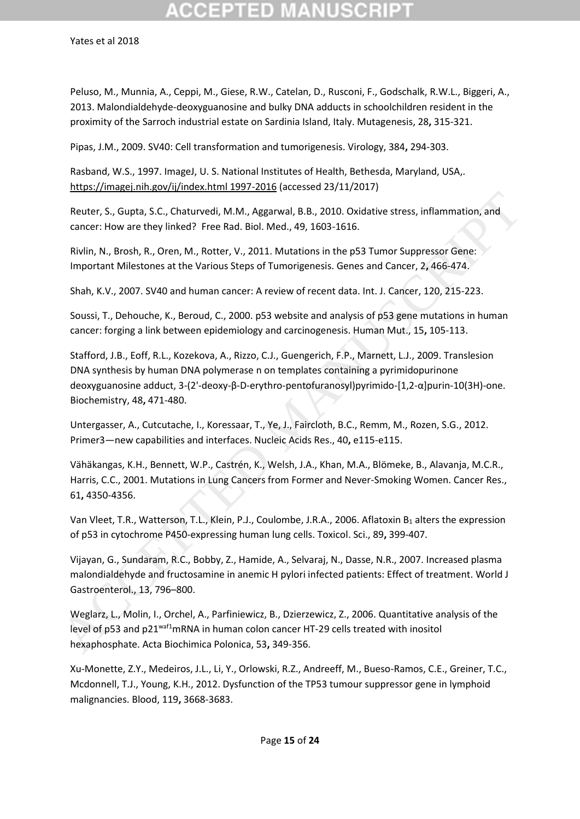Peluso, M., Munnia, A., Ceppi, M., Giese, R.W., Catelan, D., Rusconi, F., Godschalk, R.W.L., Biggeri, A., 2013. Malondialdehyde-deoxyguanosine and bulky DNA adducts in schoolchildren resident in the proximity of the Sarroch industrial estate on Sardinia Island, Italy. Mutagenesis, 28**,** 315-321.

Pipas, J.M., 2009. SV40: Cell transformation and tumorigenesis. Virology, 384**,** 294-303.

Rasband, W.S., 1997. ImageJ, U. S. National Institutes of Health, Bethesda, Maryland, USA,. https://imagej.nih.gov/ij/index.html 1997-2016 (accessed 23/11/2017)

Reuter, S., Gupta, S.C., Chaturvedi, M.M., Aggarwal, B.B., 2010. Oxidative stress, inflammation, and cancer: How are they linked? Free Rad. Biol. Med., 49, 1603-1616.

Rivlin, N., Brosh, R., Oren, M., Rotter, V., 2011. Mutations in the p53 Tumor Suppressor Gene: Important Milestones at the Various Steps of Tumorigenesis. Genes and Cancer, 2**,** 466-474.

Shah, K.V., 2007. SV40 and human cancer: A review of recent data. Int. J. Cancer, 120, 215-223.

Soussi, T., Dehouche, K., Beroud, C., 2000. p53 website and analysis of p53 gene mutations in human cancer: forging a link between epidemiology and carcinogenesis. Human Mut., 15**,** 105-113.

Stafford, J.B., Eoff, R.L., Kozekova, A., Rizzo, C.J., Guengerich, F.P., Marnett, L.J., 2009. Translesion DNA synthesis by human DNA polymerase n on templates containing a pyrimidopurinone deoxyguanosine adduct, 3-(2'-deoxy-β-D-erythro-pentofuranosyl)pyrimido-[1,2-α]purin-10(3H)-one. Biochemistry, 48**,** 471-480. Reuter, S., Gupta, S.C., Chaturvedi, M.M., Aggarwal, B.B., 2010. Oxidative stress, inflammation, and<br>cancer: How are they linked? Free Rad. Biol. Med., 49, 1603-1616.<br>Rivlin, N., Brosh, R., Oren, M., Rotter, V., 2011. Muta

Untergasser, A., Cutcutache, I., Koressaar, T., Ye, J., Faircloth, B.C., Remm, M., Rozen, S.G., 2012. Primer3—new capabilities and interfaces. Nucleic Acids Res., 40**,** e115-e115.

Vähäkangas, K.H., Bennett, W.P., Castrén, K., Welsh, J.A., Khan, M.A., Blömeke, B., Alavanja, M.C.R., Harris, C.C., 2001. Mutations in Lung Cancers from Former and Never-Smoking Women. Cancer Res., 61**,** 4350-4356.

Van Vleet, T.R., Watterson, T.L., Klein, P.J., Coulombe, J.R.A., 2006. Aflatoxin B<sub>1</sub> alters the expression of p53 in cytochrome P450-expressing human lung cells. Toxicol. Sci., 89**,** 399-407.

Vijayan, G., Sundaram, R.C., Bobby, Z., Hamide, A., Selvaraj, N., Dasse, N.R., 2007. Increased plasma malondialdehyde and fructosamine in anemic H pylori infected patients: Effect of treatment. World J Gastroenterol., 13, 796–800.

Weglarz, L., Molin, I., Orchel, A., Parfiniewicz, B., Dzierzewicz, Z., 2006. Quantitative analysis of the level of p53 and p21<sup>waf1</sup>mRNA in human colon cancer HT-29 cells treated with inositol hexaphosphate. Acta Biochimica Polonica, 53**,** 349-356.

Xu-Monette, Z.Y., Medeiros, J.L., Li, Y., Orlowski, R.Z., Andreeff, M., Bueso-Ramos, C.E., Greiner, T.C., Mcdonnell, T.J., Young, K.H., 2012. Dysfunction of the TP53 tumour suppressor gene in lymphoid malignancies. Blood, 119**,** 3668-3683.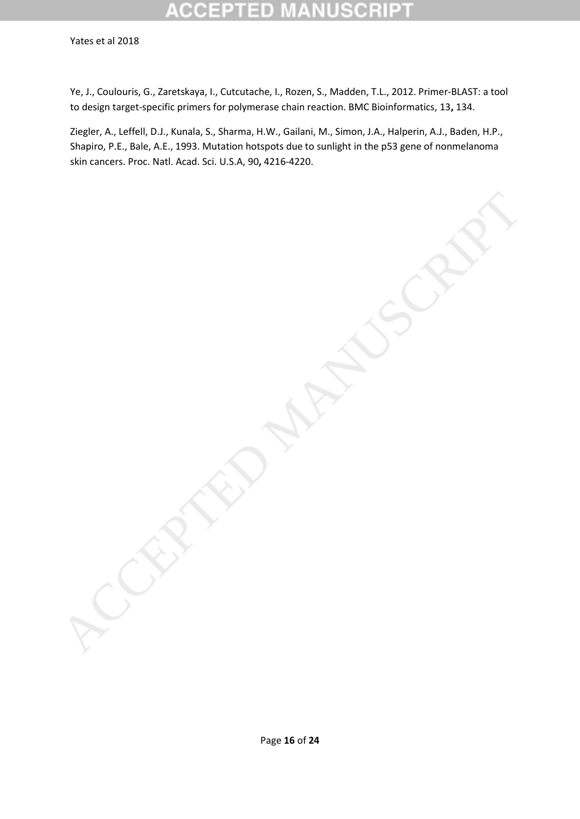# D

Yates et al 2018

Ye, J., Coulouris, G., Zaretskaya, I., Cutcutache, I., Rozen, S., Madden, T.L., 2012. Primer-BLAST: a tool to design target-specific primers for polymerase chain reaction. BMC Bioinformatics, 13**,** 134.

Ziegler, A., Leffell, D.J., Kunala, S., Sharma, H.W., Gailani, M., Simon, J.A., Halperin, A.J., Baden, H.P., Shapiro, P.E., Bale, A.E., 1993. Mutation hotspots due to sunlight in the p53 gene of nonmelanoma skin cancers. Proc. Natl. Acad. Sci. U.S.A, 90**,** 4216-4220.

ACCEPTED MANUSCRIPT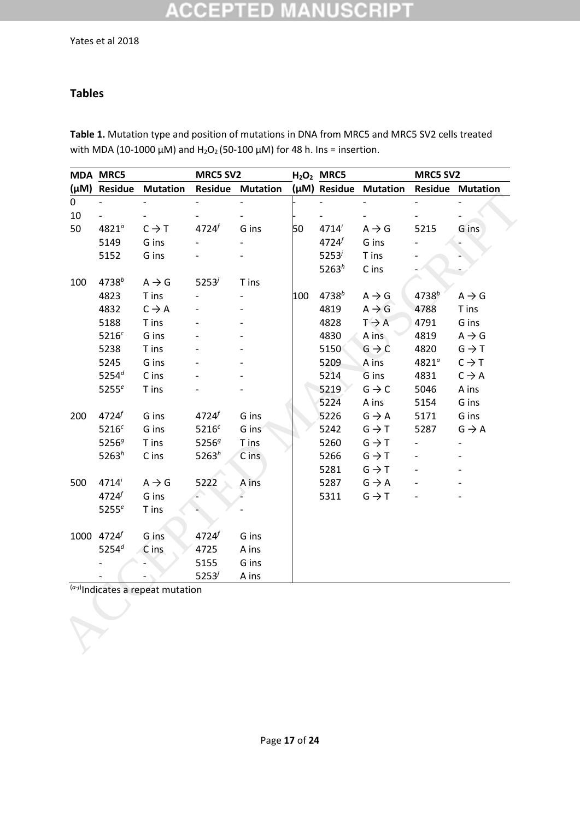## **ACCEPTED MANUSCRIPT**

## **Tables**

**Table 1.** Mutation type and position of mutations in DNA from MRC5 and MRC5 SV2 cells treated with MDA (10-1000  $\mu$ M) and H<sub>2</sub>O<sub>2</sub> (50-100  $\mu$ M) for 48 h. Ins = insertion.

|             | <b>MDA MRC5</b>        |                   | <b>MRC5 SV2</b>   |                         |     | $H2O2$ MRC5 |                       | <b>MRC5 SV2</b> |                          |
|-------------|------------------------|-------------------|-------------------|-------------------------|-----|-------------|-----------------------|-----------------|--------------------------|
|             | (µM) Residue           | <b>Mutation</b>   |                   | <b>Residue Mutation</b> |     |             | (µM) Residue Mutation |                 | <b>Residue Mutation</b>  |
| $\mathbf 0$ |                        |                   |                   |                         |     |             |                       |                 |                          |
| 10          |                        |                   |                   |                         |     |             |                       |                 |                          |
| 50          | $4821^a$               | $C \rightarrow T$ | 4724              | G ins                   | 50  | 4714'       | $A \rightarrow G$     | 5215            | G ins                    |
|             | 5149                   | G ins             |                   |                         |     | 4724f       | G ins                 |                 |                          |
|             | 5152                   | G ins             |                   |                         |     | $5253^j$    | T ins                 |                 |                          |
|             |                        |                   |                   |                         |     | $5263^h$    | C ins                 |                 |                          |
| 100         | 4738 <sup>b</sup>      | $A \rightarrow G$ | $5253^{j}$        | T ins                   |     |             |                       |                 |                          |
|             | 4823                   | T ins             |                   |                         | 100 | $4738^{b}$  | $A \rightarrow G$     | $4738^{b}$      | $A \rightarrow G$        |
|             | 4832                   | $C \rightarrow A$ |                   |                         |     | 4819        | $A \rightarrow G$     | 4788            | T ins                    |
|             | 5188                   | T ins             |                   |                         |     | 4828        | $T \rightarrow A$     | 4791            | G ins                    |
|             | 5216 <sup>c</sup>      | G ins             |                   |                         |     | 4830        | A ins                 | 4819            | $A \rightarrow G$        |
|             | 5238                   | T ins             |                   |                         |     | 5150        | $G \rightarrow C$     | 4820            | $G \rightarrow T$        |
|             | 5245                   | G ins             |                   |                         |     | 5209        | A ins                 | $4821^a$        | $C \rightarrow T$        |
|             | $5254^d$               | C ins             |                   |                         |     | 5214        | G ins                 | 4831            | $C \rightarrow A$        |
|             | 5255 $e$               | T ins             |                   |                         |     | 5219        | $G \rightarrow C$     | 5046            | A ins                    |
|             |                        |                   |                   |                         |     | 5224        | A ins                 | 5154            | G ins                    |
| 200         | 4724f                  | G ins             | 4724              | G ins                   |     | 5226        | $G \rightarrow A$     | 5171            | G ins                    |
|             | 5216c                  | G ins             | 5216c             | G ins                   |     | 5242        | $G \rightarrow T$     | 5287            | $G \rightarrow A$        |
|             | 5256 $g$               | T ins             | 5256 $g$          | T ins                   |     | 5260        | $G \rightarrow T$     |                 | $\overline{\phantom{0}}$ |
|             | $5263^h$               | C ins             | 5263 <sup>h</sup> | C ins                   |     | 5266        | $G \rightarrow T$     |                 |                          |
|             |                        |                   |                   |                         |     | 5281        | $G \rightarrow T$     |                 |                          |
| 500         | 4714'                  | $A \rightarrow G$ | 5222              | A ins                   |     | 5287        | $G \rightarrow A$     |                 |                          |
|             | 4724f                  | G ins             |                   |                         |     | 5311        | $G \rightarrow T$     |                 |                          |
|             | 5255 $e$               | T ins             |                   |                         |     |             |                       |                 |                          |
|             | 1000 4724 <sup>f</sup> | G ins             | 4724              | G ins                   |     |             |                       |                 |                          |
|             | $5254^d$               | $C$ ins           | 4725              | A ins                   |     |             |                       |                 |                          |
|             |                        |                   | 5155              | G ins                   |     |             |                       |                 |                          |
|             |                        |                   | $5253^{j}$        | A ins                   |     |             |                       |                 |                          |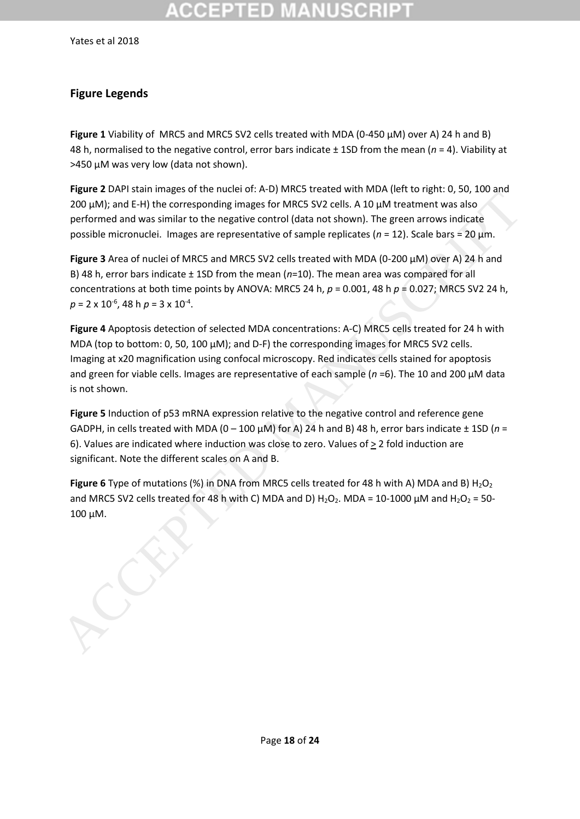# COEPTED

Yates et al 2018

## **Figure Legends**

**Figure 1** Viability of MRC5 and MRC5 SV2 cells treated with MDA (0-450 µM) over A) 24 h and B) 48 h, normalised to the negative control, error bars indicate ± 1SD from the mean (*n* = 4). Viability at >450 µM was very low (data not shown).

**Figure 2** DAPI stain images of the nuclei of: A-D) MRC5 treated with MDA (left to right: 0, 50, 100 and 200 µM); and E-H) the corresponding images for MRC5 SV2 cells. A 10 µM treatment was also performed and was similar to the negative control (data not shown). The green arrows indicate possible micronuclei. Images are representative of sample replicates (*n* = 12). Scale bars = 20 µm.

**Figure 3** Area of nuclei of MRC5 and MRC5 SV2 cells treated with MDA (0-200 µM) over A) 24 h and B) 48 h, error bars indicate ± 1SD from the mean (*n*=10). The mean area was compared for all concentrations at both time points by ANOVA: MRC5 24 h, *p* = 0.001, 48 h *p* = 0.027; MRC5 SV2 24 h, *p* = 2 x 10-6 , 48 h *p* = 3 x 10-4 .

**Figure 4** Apoptosis detection of selected MDA concentrations: A-C) MRC5 cells treated for 24 h with MDA (top to bottom: 0, 50, 100  $\mu$ M); and D-F) the corresponding images for MRC5 SV2 cells. Imaging at x20 magnification using confocal microscopy. Red indicates cells stained for apoptosis and green for viable cells. Images are representative of each sample (*n* =6). The 10 and 200 µM data is not shown. **EQUE OF THE ACCES TRANSPARE ACCESS AND AN ACCESS AND AN ACCESS AND AN ACCESS AND A SIGN AND AN ACCESS AND A DUM INTEGRATION AND AN ACCESS AND INTEGRATION AND AN ACCESS AND INTEGRATION DREPARE ACCESS AND INTEGRATION BETWE** 

**Figure 5** Induction of p53 mRNA expression relative to the negative control and reference gene GADPH, in cells treated with MDA ( $0 - 100 \mu$ M) for A) 24 h and B) 48 h, error bars indicate  $\pm$  1SD ( $n =$ 6). Values are indicated where induction was close to zero. Values of > 2 fold induction are significant. Note the different scales on A and B.

**Figure 6** Type of mutations (%) in DNA from MRC5 cells treated for 48 h with A) MDA and B) H<sub>2</sub>O<sub>2</sub> and MRC5 SV2 cells treated for 48 h with C) MDA and D)  $H_2O_2$ . MDA = 10-1000  $\mu$ M and  $H_2O_2$  = 50-100 μM.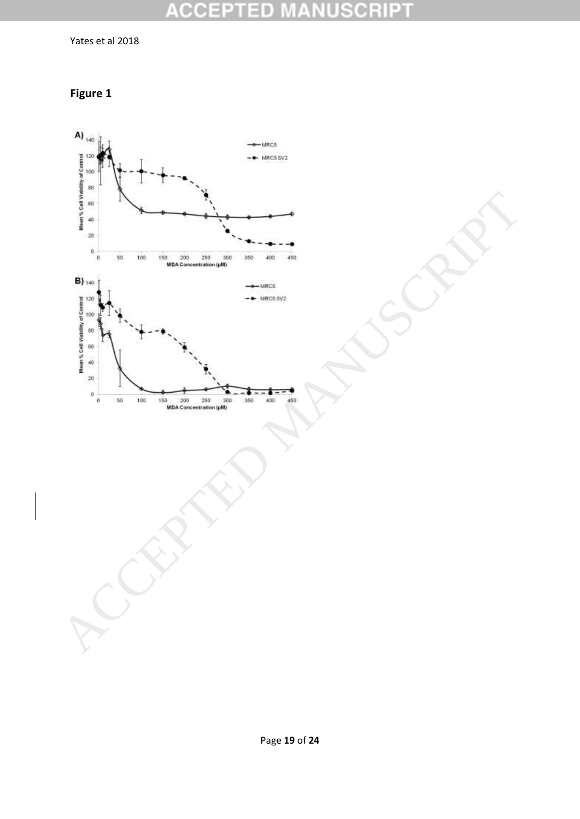#### **ACCEPTED MANUSCRIPT**

Yates et al 2018



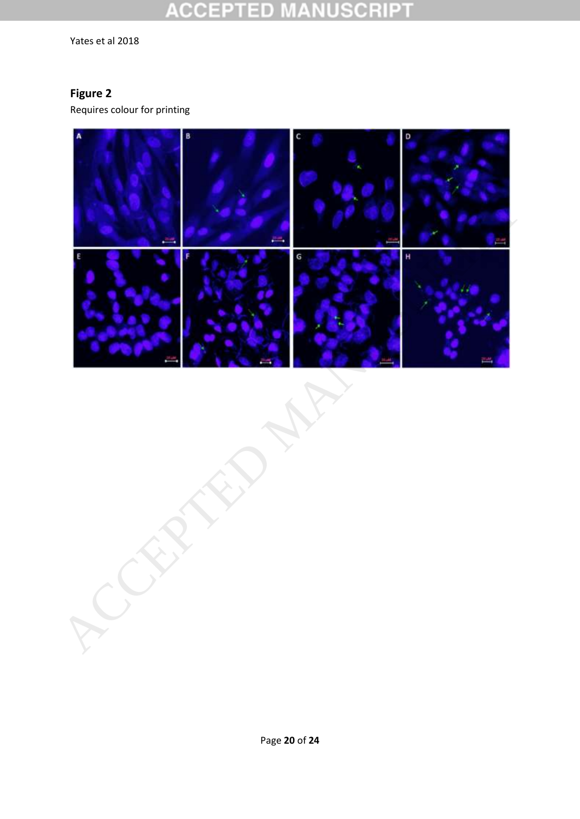#### **CCEPTED NUSCRIPT**  $\begin{array}{c} \begin{array}{c} \begin{array}{c} \end{array} \end{array} \end{array}$

Yates et al 2018

## **Figure 2**

Requires colour for printing

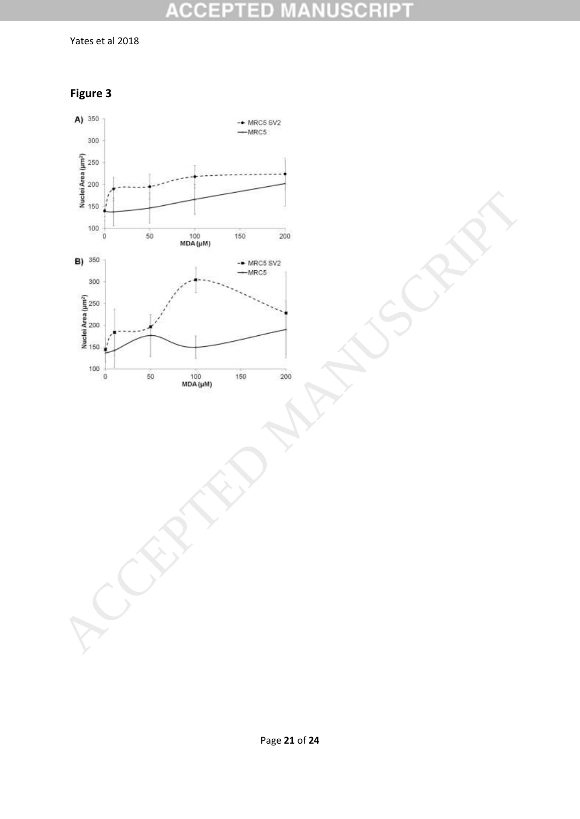#### **ACCEPTED NUSCRIPT** MA.

Yates et al 2018



**Figure 3**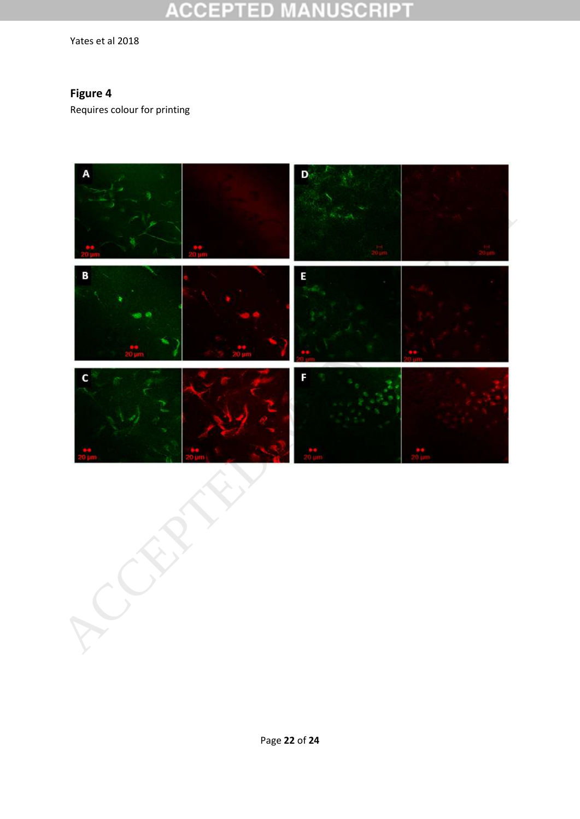#### **ACCEPT** ED USCRIPT

Yates et al 2018

## **Figure 4**

Requires colour for printing

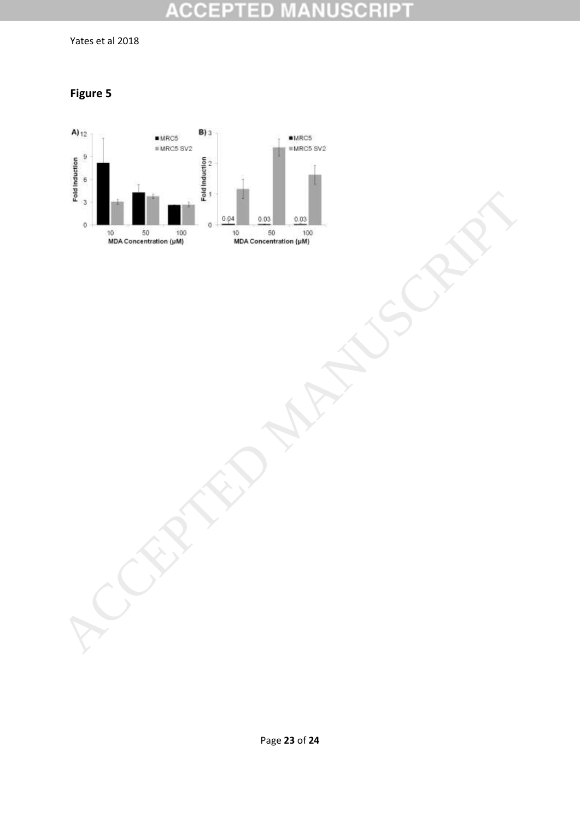#### **ACCEPTED NUSCRIPT** ¥

Yates et al 2018

**Figure 5**